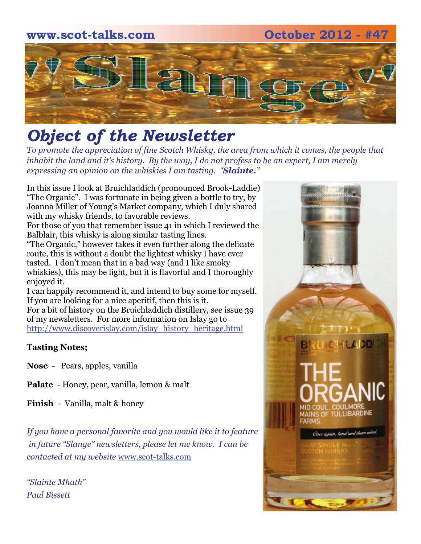### **www.scot-talks.com October 2012 - #47**



## *Object of the Newsletter*

*To promote the appreciation of fine Scotch Whisky, the area from which it comes, the people that inhabit the land and it's history. By the way, I do not profess to be an expert, I am merely expressing an opinion on the whiskies I am tasting. "Slainte."* 

In this issue I look at Bruichladdich (pronounced Brook-Laddie) "The Organic". I was fortunate in being given a bottle to try, by Joanna Miller of Young's Market company, which I duly shared with my whisky friends, to favorable reviews.

For those of you that remember issue 41 in which I reviewed the Balblair, this whisky is along similar tasting lines.

"The Organic," however takes it even further along the delicate route, this is without a doubt the lightest whisky I have ever tasted. I don't mean that in a bad way (and I like smoky whiskies), this may be light, but it is flavorful and I thoroughly enjoyed it.

I can happily recommend it, and intend to buy some for myself. If you are looking for a nice aperitif, then this is it. For a bit of history on the Bruichladdich distillery, see issue 39 of my newsletters. For more information on Islay go to http://www.discoverislay.com/islay\_history\_heritage.html

### **Tasting Notes;**

**Nose** - Pears, apples, vanilla

**Palate** - Honey, pear, vanilla, lemon & malt

**Finish** - Vanilla, malt & honey

*If you have a personal favorite and you would like it to feature in future "Slange" newsletters, please let me know. I can be contacted at my website* www.scot-talks.com

*"Slainte Mhath" Paul Bissett*

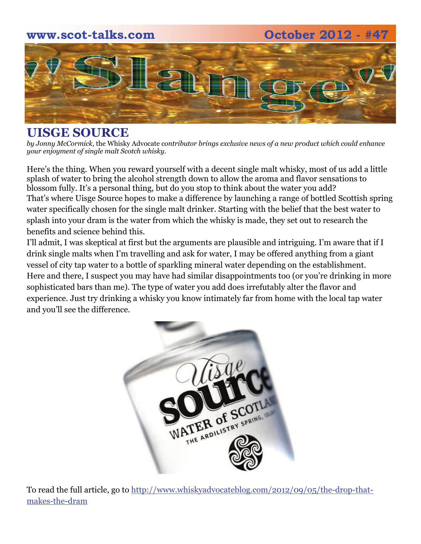### **www.scot-talks.com October 2012 - #47**



### **UISGE SOURCE**

*by Jonny McCormick,* the Whisky Advocate c*ontributor brings exclusive news of a new product which could enhance your enjoyment of single malt Scotch whisky.*

Here's the thing. When you reward yourself with a decent single malt whisky, most of us add a little splash of water to bring the alcohol strength down to allow the aroma and flavor sensations to blossom fully. It's a personal thing, but do you stop to think about the water you add? That's where Uisge Source hopes to make a difference by launching a range of bottled Scottish spring water specifically chosen for the single malt drinker. Starting with the belief that the best water to splash into your dram is the water from which the whisky is made, they set out to research the benefits and science behind this.

I'll admit, I was skeptical at first but the arguments are plausible and intriguing. I'm aware that if I drink single malts when I'm travelling and ask for water, I may be offered anything from a giant vessel of city tap water to a bottle of sparkling mineral water depending on the establishment. Here and there, I suspect you may have had similar disappointments too (or you're drinking in more sophisticated bars than me). The type of water you add does irrefutably alter the flavor and experience. Just try drinking a whisky you know intimately far from home with the local tap water and you'll see the difference.



To read the full article, go to http://www.whiskyadvocateblog.com/2012/09/05/the-drop-thatmakes-the-dram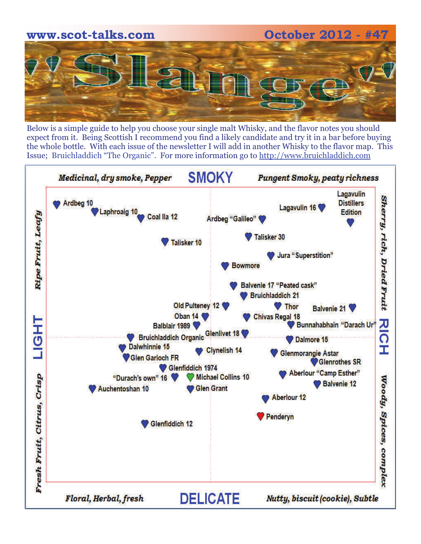

Below is a simple guide to help you choose your single malt Whisky, and the flavor notes you should expect from it. Being Scottish I recommend you find a likely candidate and try it in a bar before buying the whole bottle. With each issue of the newsletter I will add in another Whisky to the flavor map. This Issue; Bruichladdich "The Organic". For more information go to http://www.bruichladdich.com

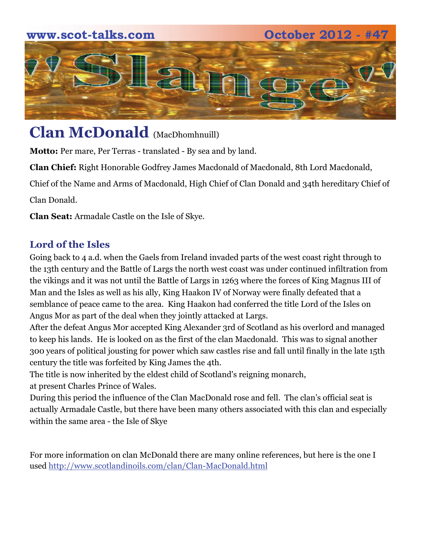# **www.scot-talks.com 0ctober 2012 - #4** an

## **Clan McDonald** (MacDhomhnuill)

**Motto:** Per mare, Per Terras - translated - By sea and by land.

**Clan Chief:** Right Honorable Godfrey James Macdonald of Macdonald, 8th Lord Macdonald,

Chief of the Name and Arms of Macdonald, High Chief of Clan Donald and 34th hereditary Chief of

Clan Donald.

**Clan Seat:** Armadale Castle on the Isle of Skye.

### **Lord of the Isles**

Going back to 4 a.d. when the Gaels from Ireland invaded parts of the west coast right through to the 13th century and the Battle of Largs the north west coast was under continued infiltration from the vikings and it was not until the Battle of Largs in 1263 where the forces of King Magnus III of Man and the Isles as well as his ally, King Haakon IV of Norway were finally defeated that a semblance of peace came to the area. King Haakon had conferred the title Lord of the Isles on Angus Mor as part of the deal when they jointly attacked at Largs.

After the defeat Angus Mor accepted King Alexander 3rd of Scotland as his overlord and managed to keep his lands. He is looked on as the first of the clan Macdonald. This was to signal another 300 years of political jousting for power which saw castles rise and fall until finally in the late 15th century the title was forfeited by King James the 4th.

The title is now inherited by the eldest child of Scotland's reigning monarch, at present Charles Prince of Wales.

During this period the influence of the Clan MacDonald rose and fell. The clan's official seat is actually Armadale Castle, but there have been many others associated with this clan and especially within the same area - the Isle of Skye

For more information on clan McDonald there are many online references, but here is the one I used http://www.scotlandinoils.com/clan/Clan-MacDonald.html